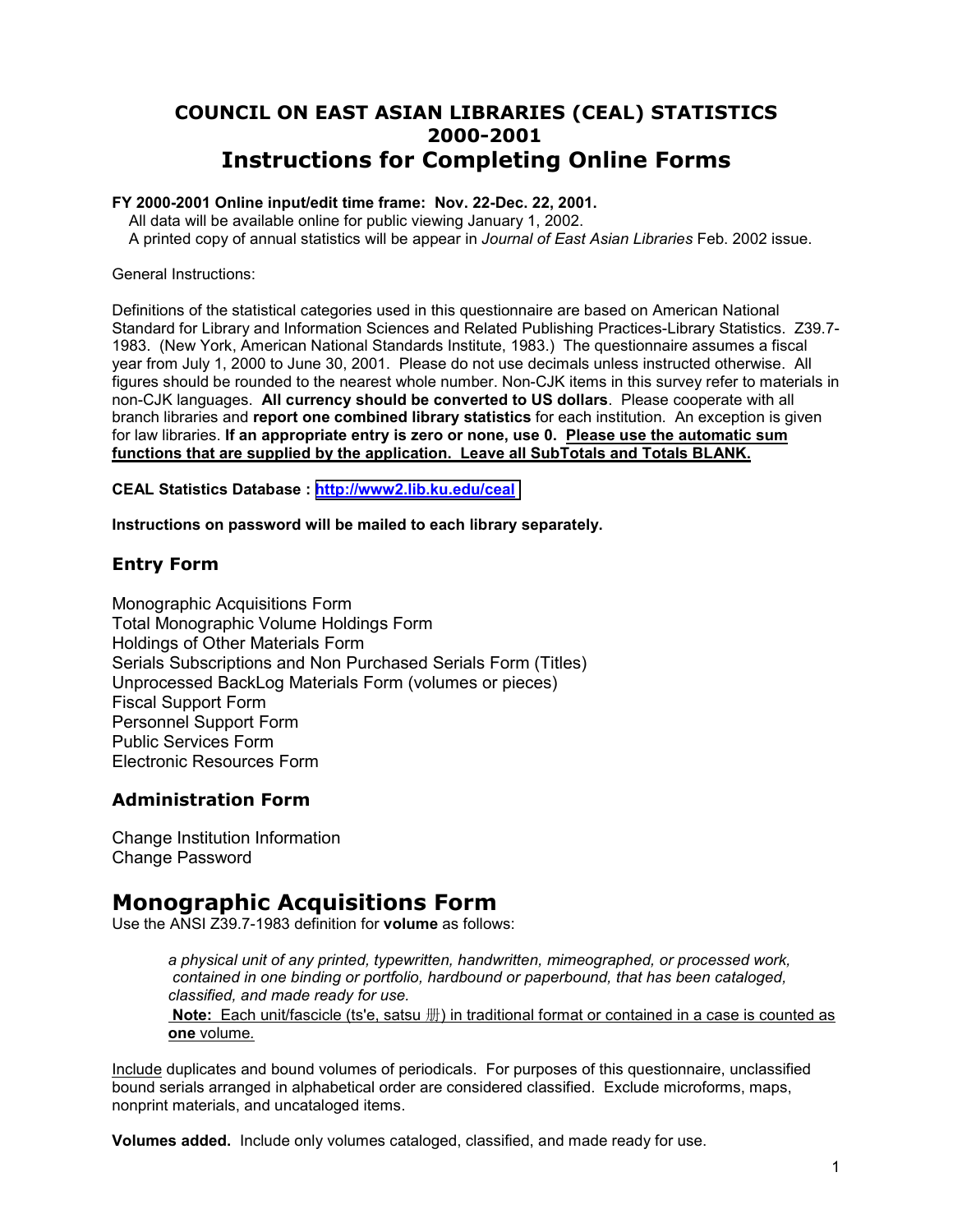# <span id="page-0-0"></span>**COUNCIL ON EAST ASIAN LIBRARIES (CEAL) STATISTICS 2000-2001 Instructions for Completing Online Forms**

### **FY 2000-2001 Online input/edit time frame: Nov. 22-Dec. 22, 2001.**

All data will be available online for public viewing January 1, 2002. A printed copy of annual statistics will be appear in *Journal of East Asian Libraries* Feb. 2002 issue.

General Instructions:

Definitions of the statistical categories used in this questionnaire are based on American National Standard for Library and Information Sciences and Related Publishing Practices-Library Statistics. Z39.7- 1983. (New York, American National Standards Institute, 1983.) The questionnaire assumes a fiscal year from July 1, 2000 to June 30, 2001. Please do not use decimals unless instructed otherwise. All figures should be rounded to the nearest whole number. Non-CJK items in this survey refer to materials in non-CJK languages. **All currency should be converted to US dollars**. Please cooperate with all branch libraries and **report one combined library statistics** for each institution. An exception is given for law libraries. **If an appropriate entry is zero or none, use 0. Please use the automatic sum functions that are supplied by the application. Leave all SubTotals and Totals BLANK.**

**CEAL Statistics Database : http://www2.lib.ku.edu/ceal**

**Instructions on password will be mailed to each library separately.** 

## **Entry Form**

Monographic Acquisitions Form Total Monographic Volume Holdings Form Holdings of Other Materials Form Serials Subscriptions and Non Purchased Serials Form (Titles) Unprocessed BackLog Materials Form (volumes or pieces) Fiscal Support Form Personnel Support Form Public Services Form Electronic Resources Form

## **Administration Form**

Change Institution Information Change Password

# **Monographic Acquisitions Form**

Use the ANSI Z39.7-1983 definition for **volume** as follows:

*a physical unit of any printed, typewritten, handwritten, mimeographed, or processed work, contained in one binding or portfolio, hardbound or paperbound, that has been cataloged, classified, and made ready for use.*  **Note:** Each unit/fascicle (ts'e, satsu 册) in traditional format or contained in a case is counted as **one** volume*.*

Include duplicates and bound volumes of periodicals. For purposes of this questionnaire, unclassified bound serials arranged in alphabetical order are considered classified. Exclude microforms, maps, nonprint materials, and uncataloged items.

**Volumes added.** Include only volumes cataloged, classified, and made ready for use.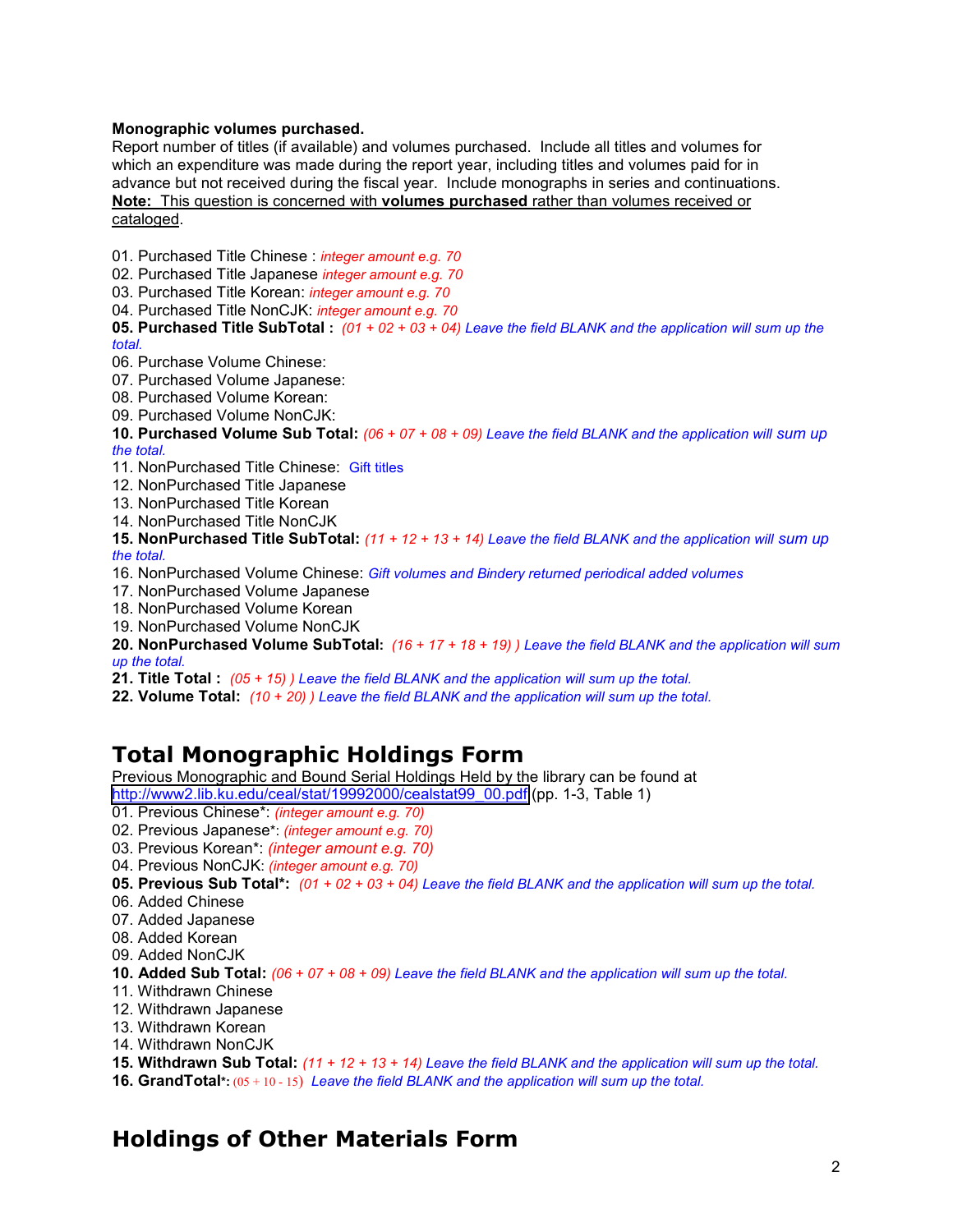### **Monographic volumes purchased.**

Report number of titles (if available) and volumes purchased. Include all titles and volumes for which an expenditure was made during the report year, including titles and volumes paid for in advance but not received during the fiscal year. Include monographs in series and continuations. **Note:** This question is concerned with **volumes purchased** rather than volumes received or cataloged.

01. Purchased Title Chinese : *integer amount e.g. 70* 02. Purchased Title Japanese *integer amount e.g. 70*

- 03. Purchased Title Korean: *integer amount e.g. 70*
- 04. Purchased Title NonCJK: *integer amount e.g. 70*

**05. Purchased Title SubTotal :** *(01 + 02 + 03 + 04) Leave the field BLANK and the application will sum up the total.*

- 
- 06. Purchase Volume Chinese:<br>07. Purchased Volume Japanese:<br>08. Purchased Volume Korean:<br>09. Purchased Volume NonCJK:
- 
- 

**10. Purchased Volume Sub Total:** *(06 + 07 + 08 + 09) Leave the field BLANK and the application will sum up the total.*

- 11. NonPurchased Title Chinese: Gift titles
- 
- 12. NonPurchased Title Japanese 13. NonPurchased Title Korean 14. NonPurchased Title NonCJK
- 

**15. NonPurchased Title SubTotal:** *(11 + 12 + 13 + 14) Leave the field BLANK and the application will sum up the total.*

- 16. NonPurchased Volume Chinese: *Gift volumes and Bindery returned periodical added volumes* 17. NonPurchased Volume Japanese 18. NonPurchased Volume Korean 19. NonPurchased Volume NonCJK
- 
- 
- 

**20. NonPurchased Volume SubTotal:** *(16 + 17 + 18 + 19) ) Leave the field BLANK and the application will sum up the total.*

- **21. Title Total :** *(05 + 15) ) Leave the field BLANK and the application will sum up the total.*
- **22. Volume Total:** *(10 + 20) ) Leave the field BLANK and the application will sum up the total.*

# **Total Monographic Holdings Form**

Previous Monographic and Bound Serial Holdings Held by the library can be found at

[http://www2.lib.ku.edu/ceal/stat/19992000/cealstat99\\_00.pdf](#page-0-0) (pp. 1-3, Table 1)

- 01. Previous Chinese\*: *(integer amount e.g. 70)*
- 02. Previous Japanese\*: *(integer amount e.g. 70)*
- 03. Previous Korean\*: *(integer amount e.g. 70)*
- 04. Previous NonCJK: *(integer amount e.g. 70)*
- **05. Previous Sub Total\*:** *(01 + 02 + 03 + 04) Leave the field BLANK and the application will sum up the total.*
- 06. Added Chinese
- 07. Added Japanese
- 08. Added Korean
- 09. Added NonCJK
- **10. Added Sub Total:** *(06 + 07 + 08 + 09) Leave the field BLANK and the application will sum up the total.*
- 11. Withdrawn Chinese
- 12. Withdrawn Japanese
- 13. Withdrawn Korean
- 14. Withdrawn NonCJK
- **15. Withdrawn Sub Total:** *(11 + 12 + 13 + 14) Leave the field BLANK and the application will sum up the total.*
- **16. GrandTotal\*:** (05 + 10 15) *Leave the field BLANK and the application will sum up the total.*

# **Holdings of Other Materials Form**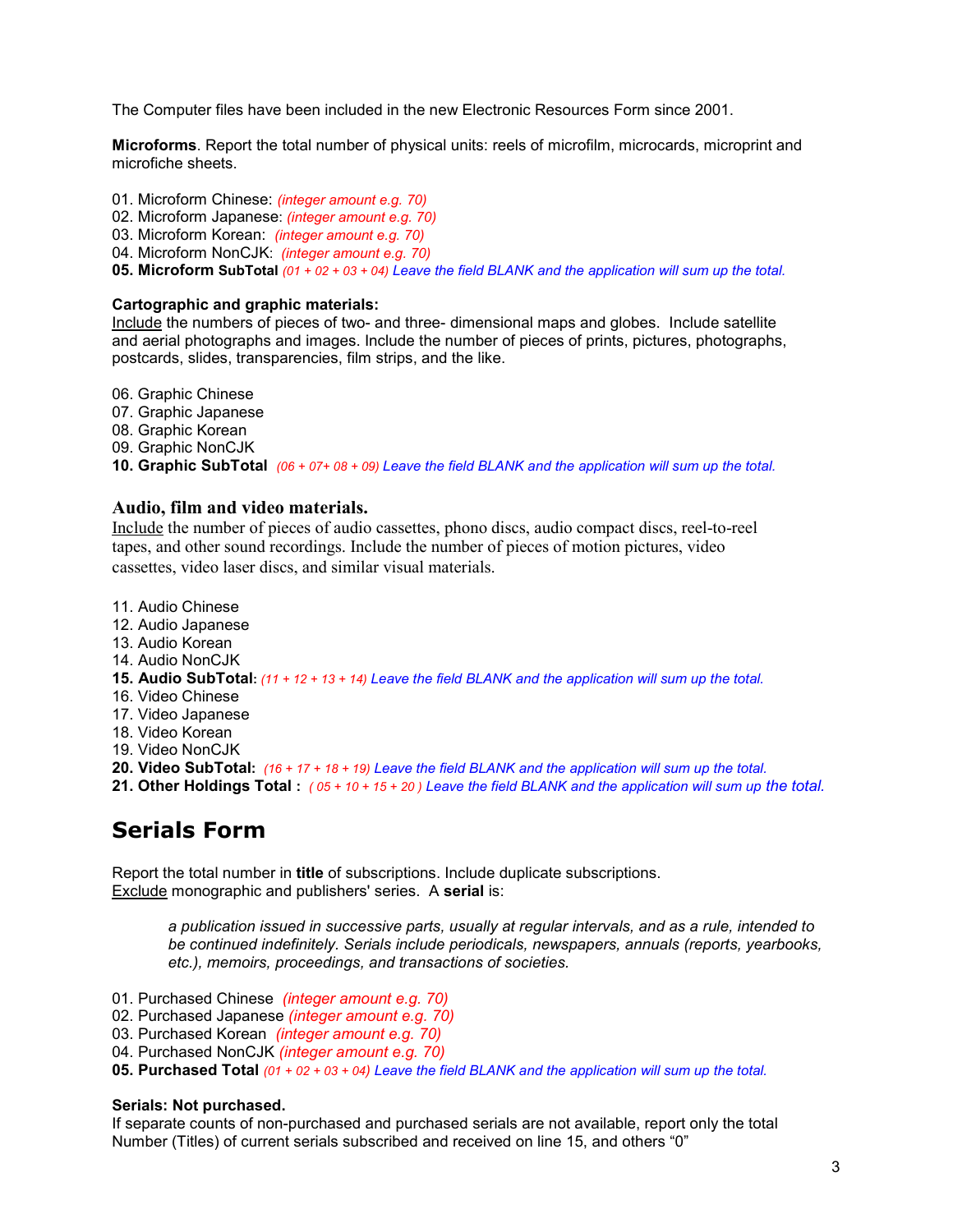The Computer files have been included in the new Electronic Resources Form since 2001.

**Microforms**. Report the total number of physical units: reels of microfilm, microcards, microprint and microfiche sheets.

01. Microform Chinese: *(integer amount e.g. 70)* 02. Microform Japanese: *(integer amount e.g. 70)* 03. Microform Korean: *(integer amount e.g. 70)* 04. Microform NonCJK: *(integer amount e.g. 70)*

**05. Microform SubTotal** *(01 + 02 + 03 + 04) Leave the field BLANK and the application will sum up the total.*

### **Cartographic and graphic materials:**

Include the numbers of pieces of two- and three- dimensional maps and globes. Include satellite and aerial photographs and images. Include the number of pieces of prints, pictures, photographs, postcards, slides, transparencies, film strips, and the like.

06. Graphic Chinese<br>07. Graphic Japanese<br>08. Graphic NonCJK<br>09. Graphic NonCJK **10. Graphic SubTotal** *(06 + 07+ 08 + 09) Leave the field BLANK and the application will sum up the total.*

## **Audio, film and video materials.**

Include the number of pieces of audio cassettes, phono discs, audio compact discs, reel-to-reel tapes, and other sound recordings. Include the number of pieces of motion pictures, video cassettes, video laser discs, and similar visual materials.

11. Audio Chinese

- 12. Audio Japanese
- 13. Audio Korean
- 14. Audio NonCJK
- **15. Audio SubTotal:** *(11 + 12 + 13 + 14) Leave the field BLANK and the application will sum up the total.*
- 16. Video Chinese
- 17. Video Japanese
- 18. Video Korean
- 19. Video NonCJK
- **20. Video SubTotal:** *(16 + 17 + 18 + 19) Leave the field BLANK and the application will sum up the total.*
- **21. Other Holdings Total :** *( 05 + 10 + 15 + 20 ) Leave the field BLANK and the application will sum up the total.*

# **Serials Form**

Report the total number in **title** of subscriptions. Include duplicate subscriptions. Exclude monographic and publishers' series. A **serial** is:

> *a publication issued in successive parts, usually at regular intervals, and as a rule, intended to be continued indefinitely. Serials include periodicals, newspapers, annuals (reports, yearbooks, etc.), memoirs, proceedings, and transactions of societies.*

- 
- 01. Purchased Chinese *(integer amount e.g. 70)* 02. Purchased Japanese *(integer amount e.g. 70)* 03. Purchased Korean *(integer amount e.g. 70)* 04. Purchased NonCJK *(integer amount e.g. 70)*
- 
- 

**05. Purchased Total** *(01 + 02 + 03 + 04) Leave the field BLANK and the application will sum up the total.*

### **Serials: Not purchased.**

If separate counts of non-purchased and purchased serials are not available, report only the total Number (Titles) of current serials subscribed and received on line 15, and others "0"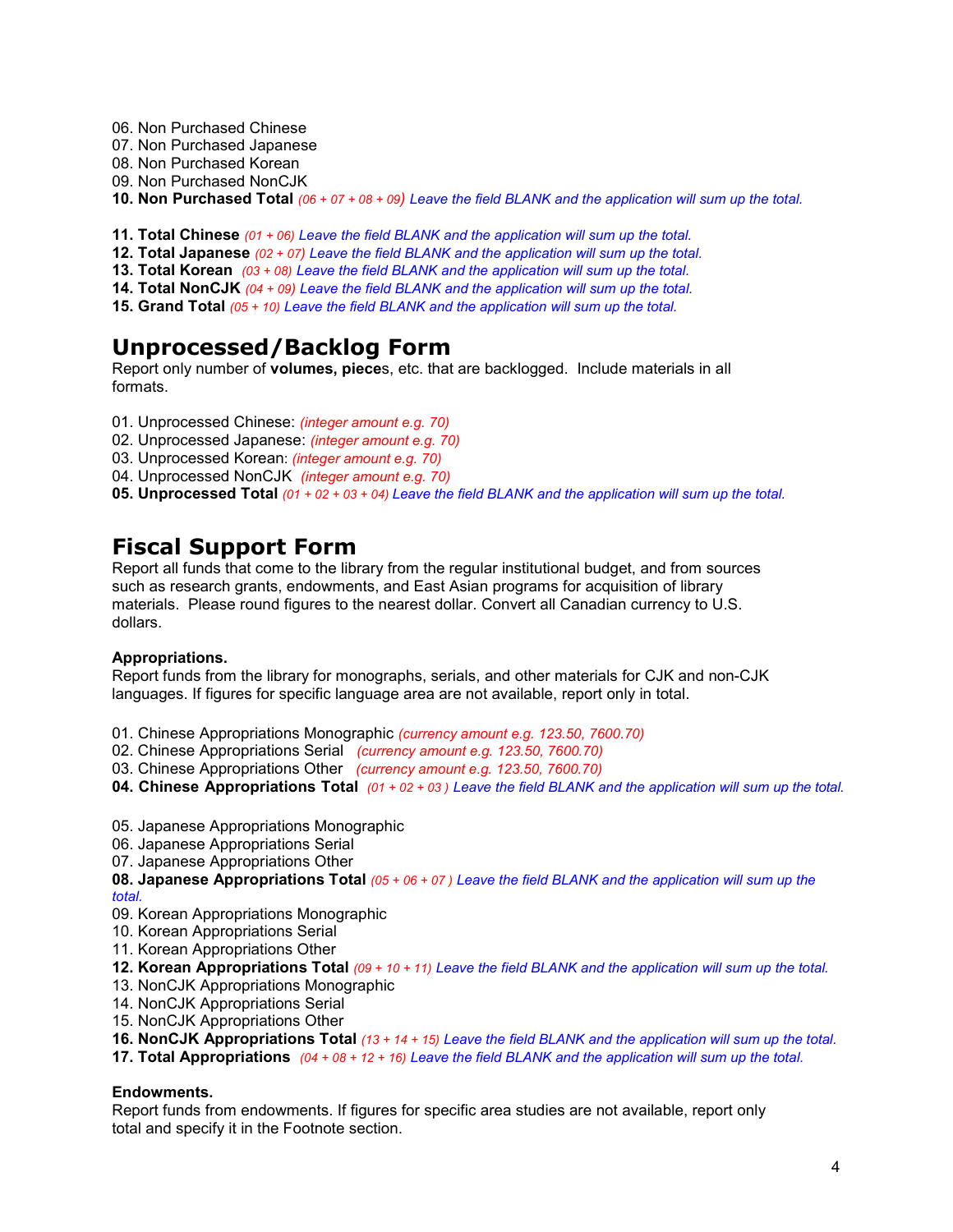- 06. Non Purchased Chinese
- 07. Non Purchased Japanese
- 08. Non Purchased Korean
- 09. Non Purchased NonCJK
- **10. Non Purchased Total** *(06 + 07 + 08 + 09) Leave the field BLANK and the application will sum up the total.*
- **11. Total Chinese** *(01 + 06) Leave the field BLANK and the application will sum up the total.*
- **12. Total Japanese** *(02 + 07) Leave the field BLANK and the application will sum up the total.*
- **13. Total Korean** *(03 + 08) Leave the field BLANK and the application will sum up the total.*
- **14. Total NonCJK** *(04 + 09) Leave the field BLANK and the application will sum up the total.*
- **15. Grand Total** *(05 + 10) Leave the field BLANK and the application will sum up the total.*

# **Unprocessed/Backlog Form**

Report only number of **volumes, piece**s, etc. that are backlogged. Include materials in all formats.

- 01. Unprocessed Chinese: *(integer amount e.g. 70)*
- 02. Unprocessed Japanese: *(integer amount e.g. 70)*
- 03. Unprocessed Korean: *(integer amount e.g. 70)*
- 04. Unprocessed NonCJK *(integer amount e.g. 70)*

**05. Unprocessed Total** *(01 + 02 + 03 + 04) Leave the field BLANK and the application will sum up the total.*

# **Fiscal Support Form**

Report all funds that come to the library from the regular institutional budget, and from sources such as research grants, endowments, and East Asian programs for acquisition of library materials. Please round figures to the nearest dollar. Convert all Canadian currency to U.S. dollars.

## **Appropriations.**

Report funds from the library for monographs, serials, and other materials for CJK and non-CJK languages. If figures for specific language area are not available, report only in total.

01. Chinese Appropriations Monographic *(currency amount e.g. 123.50, 7600.70)*

- 02. Chinese Appropriations Serial *(currency amount e.g. 123.50, 7600.70)*
- 03. Chinese Appropriations Other *(currency amount e.g. 123.50, 7600.70)*
- **04. Chinese Appropriations Total** *(01 + 02 + 03 ) Leave the field BLANK and the application will sum up the total.*
- 05. Japanese Appropriations Monographic
- 06. Japanese Appropriations Serial
- 07. Japanese Appropriations Other
- **08. Japanese Appropriations Total** *(05 + 06 + 07 ) Leave the field BLANK and the application will sum up the total.*
- 09. Korean Appropriations Monographic
- 10. Korean Appropriations Serial
- 11. Korean Appropriations Other
- **12. Korean Appropriations Total** *(09 + 10 + 11) Leave the field BLANK and the application will sum up the total.*
- 13. NonCJK Appropriations Monographic
- 14. NonCJK Appropriations Serial
- 15. NonCJK Appropriations Other
- **16. NonCJK Appropriations Total** *(13 + 14 + 15) Leave the field BLANK and the application will sum up the total.*
- **17. Total Appropriations** *(04 + 08 + 12 + 16) Leave the field BLANK and the application will sum up the total.*

## **Endowments.**

Report funds from endowments. If figures for specific area studies are not available, report only total and specify it in the Footnote section.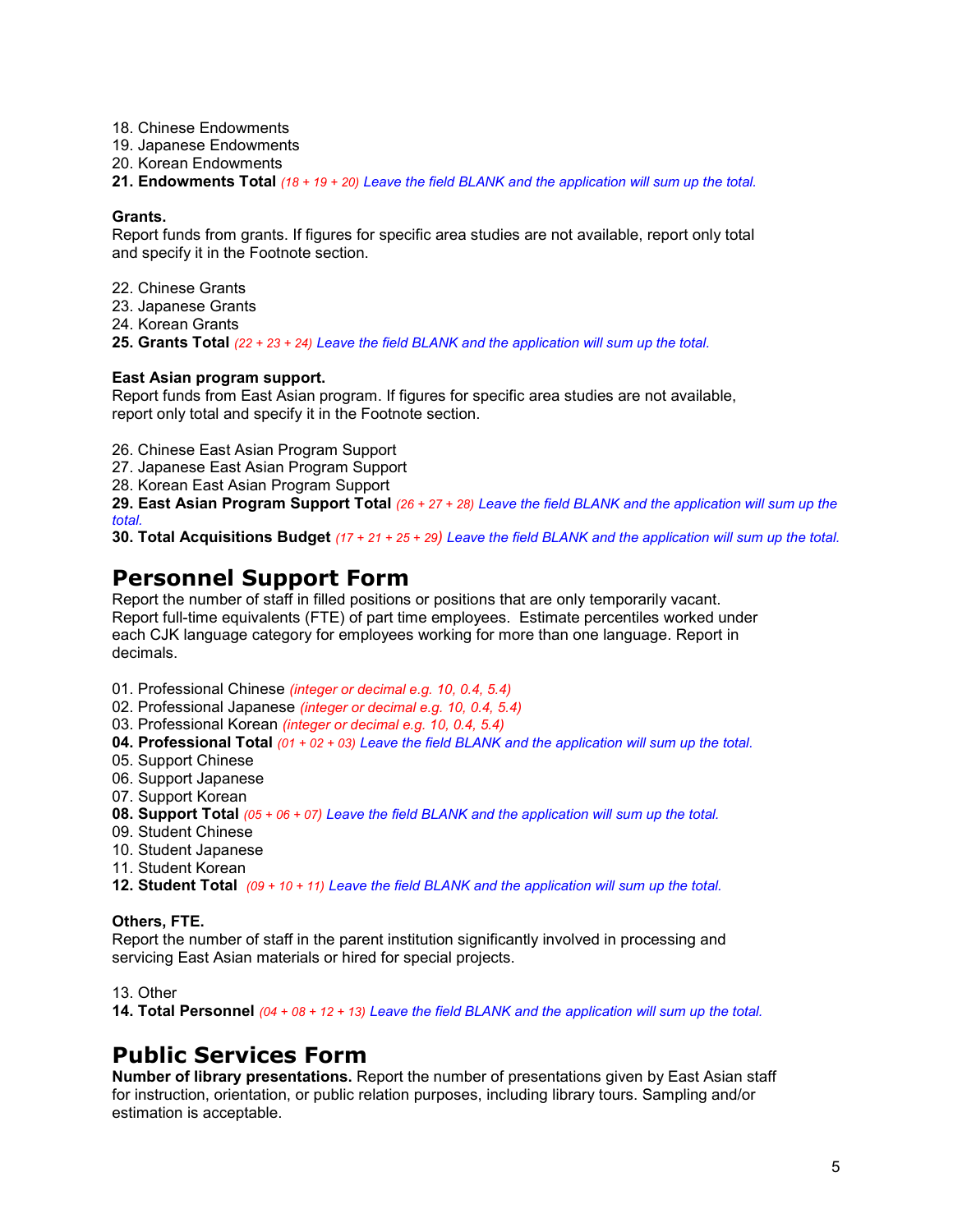18. Chinese Endowments

19. Japanese Endowments

20. Korean Endowments

**21. Endowments Total** *(18 + 19 + 20) Leave the field BLANK and the application will sum up the total.*

### **Grants.**

Report funds from grants. If figures for specific area studies are not available, report only total and specify it in the Footnote section.

- 22. Chinese Grants
- 23. Japanese Grants
- 24. Korean Grants

**25. Grants Total** *(22 + 23 + 24) Leave the field BLANK and the application will sum up the total.*

### **East Asian program support.**

Report funds from East Asian program. If figures for specific area studies are not available, report only total and specify it in the Footnote section.

26. Chinese East Asian Program Support

27. Japanese East Asian Program Support

28. Korean East Asian Program Support

**29. East Asian Program Support Total** *(26 + 27 + 28) Leave the field BLANK and the application will sum up the total.*

**30. Total Acquisitions Budget** *(17 + 21 + 25 + 29) Leave the field BLANK and the application will sum up the total.*

# **Personnel Support Form**

Report the number of staff in filled positions or positions that are only temporarily vacant. Report full-time equivalents (FTE) of part time employees. Estimate percentiles worked under each CJK language category for employees working for more than one language. Report in decimals.

- 01. Professional Chinese *(integer or decimal e.g. 10, 0.4, 5.4)*
- 02. Professional Japanese *(integer or decimal e.g. 10, 0.4, 5.4)*
- 03. Professional Korean *(integer or decimal e.g. 10, 0.4, 5.4)*
- **04. Professional Total** *(01 + 02 + 03) Leave the field BLANK and the application will sum up the total.*
- 05. Support Chinese
- 06. Support Japanese
- 07. Support Korean
- **08. Support Total** *(05 + 06 + 07) Leave the field BLANK and the application will sum up the total.*
- 09. Student Chinese
- 10. Student Japanese
- 11. Student Korean
- **12. Student Total** *(09 + 10 + 11) Leave the field BLANK and the application will sum up the total.*

## **Others, FTE.**

Report the number of staff in the parent institution significantly involved in processing and servicing East Asian materials or hired for special projects.

13. Other

**14. Total Personnel** *(04 + 08 + 12 + 13) Leave the field BLANK and the application will sum up the total.*

# **Public Services Form**

**Number of library presentations.** Report the number of presentations given by East Asian staff for instruction, orientation, or public relation purposes, including library tours. Sampling and/or estimation is acceptable.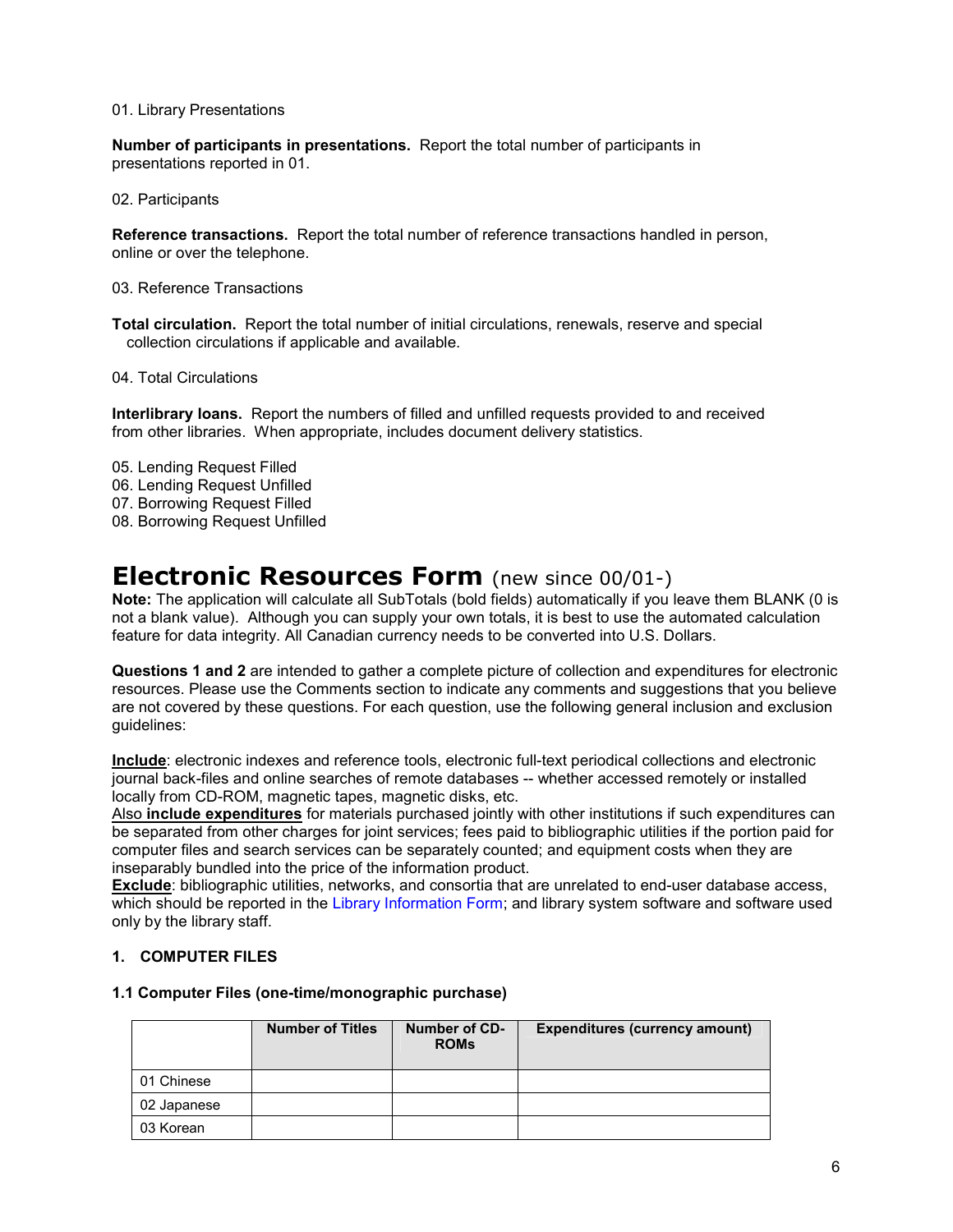### 01. Library Presentations

**Number of participants in presentations.** Report the total number of participants in presentations reported in 01.

02. Participants

**Reference transactions.** Report the total number of reference transactions handled in person, online or over the telephone.

03. Reference Transactions

**Total circulation.** Report the total number of initial circulations, renewals, reserve and special collection circulations if applicable and available.

04. Total Circulations

**Interlibrary loans.** Report the numbers of filled and unfilled requests provided to and received from other libraries. When appropriate, includes document delivery statistics.

- 05. Lending Request Filled
- 06. Lending Request Unfilled
- 07. Borrowing Request Filled
- 08. Borrowing Request Unfilled

# **Electronic Resources Form** (new since 00/01-)

**Note:** The application will calculate all SubTotals (bold fields) automatically if you leave them BLANK (0 is not a blank value). Although you can supply your own totals, it is best to use the automated calculation feature for data integrity. All Canadian currency needs to be converted into U.S. Dollars.

**Questions 1 and 2** are intended to gather a complete picture of collection and expenditures for electronic resources. Please use the Comments section to indicate any comments and suggestions that you believe are not covered by these questions. For each question, use the following general inclusion and exclusion guidelines:

**Include**: electronic indexes and reference tools, electronic full-text periodical collections and electronic journal back-files and online searches of remote databases -- whether accessed remotely or installed locally from CD-ROM, magnetic tapes, magnetic disks, etc.

Also **include expenditures** for materials purchased jointly with other institutions if such expenditures can be separated from other charges for joint services; fees paid to bibliographic utilities if the portion paid for computer files and search services can be separately counted; and equipment costs when they are inseparably bundled into the price of the information product.

**Exclude**: bibliographic utilities, networks, and consortia that are unrelated to end-user database access, which should be reported in the Library Information Form; and library system software and software used only by the library staff.

### **1. COMPUTER FILES**

### **1.1 Computer Files (one-time/monographic purchase)**

|             | <b>Number of Titles</b> | Number of CD-<br><b>ROMs</b> | <b>Expenditures (currency amount)</b> |
|-------------|-------------------------|------------------------------|---------------------------------------|
| 01 Chinese  |                         |                              |                                       |
| 02 Japanese |                         |                              |                                       |
| 03 Korean   |                         |                              |                                       |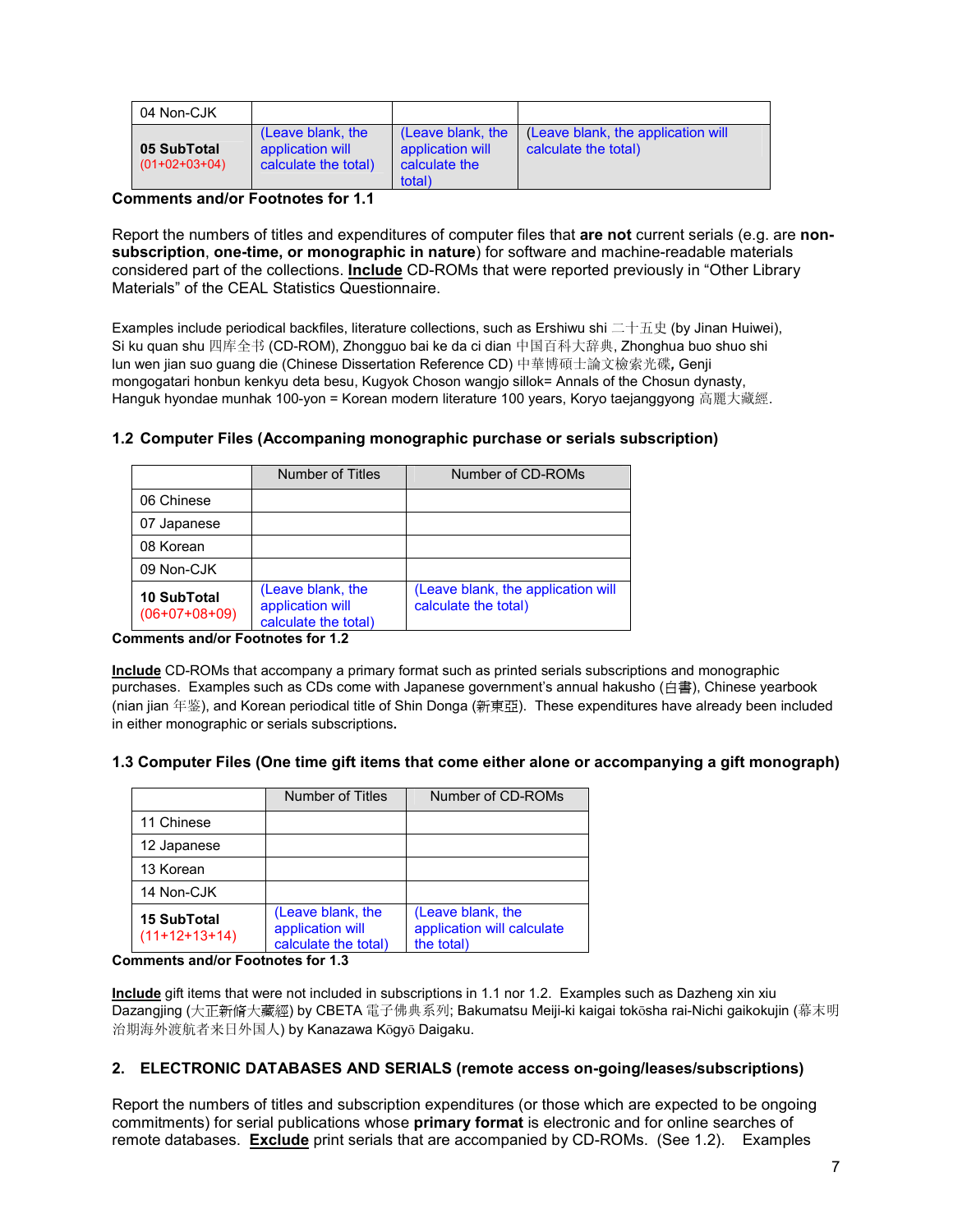| 04 Non-CJK                     |                                                               |                                                                  |                                                            |
|--------------------------------|---------------------------------------------------------------|------------------------------------------------------------------|------------------------------------------------------------|
| 05 SubTotal<br>$(01+02+03+04)$ | (Leave blank, the<br>application will<br>calculate the total) | (Leave blank, the<br>application will<br>calculate the<br>total) | (Leave blank, the application will<br>calculate the total) |

## **Comments and/or Footnotes for 1.1**

Report the numbers of titles and expenditures of computer files that **are not** current serials (e.g. are **nonsubscription**, **one-time, or monographic in nature**) for software and machine-readable materials considered part of the collections. **Include** CD-ROMs that were reported previously in "Other Library Materials" of the CEAL Statistics Questionnaire.

Examples include periodical backfiles, literature collections, such as Ershiwu shi 二十五史 (by Jinan Huiwei), Si ku quan shu 四库全书 (CD-ROM), Zhongguo bai ke da ci dian 中国百科大辞典, Zhonghua buo shuo shi lun wen jian suo guang die (Chinese Dissertation Reference CD) 中華博碩士論文檢索光碟*,* Genji mongogatari honbun kenkyu deta besu, Kugyok Choson wangjo sillok= Annals of the Chosun dynasty, Hanguk hyondae munhak 100-yon = Korean modern literature 100 years, Koryo taejanggyong 高麗大藏經.

| Number of Titles                                              | Number of CD-ROMs                                          |
|---------------------------------------------------------------|------------------------------------------------------------|
|                                                               |                                                            |
|                                                               |                                                            |
|                                                               |                                                            |
|                                                               |                                                            |
| (Leave blank, the<br>application will<br>calculate the total) | (Leave blank, the application will<br>calculate the total) |
|                                                               |                                                            |

### **1.2 Computer Files (Accompaning monographic purchase or serials subscription)**

**Comments and/or Footnotes for 1.2**

**Include** CD-ROMs that accompany a primary format such as printed serials subscriptions and monographic purchases. Examples such as CDs come with Japanese government's annual hakusho (白書), Chinese yearbook (nian jian 年鉴), and Korean periodical title of Shin Donga (新東亞). These expenditures have already been included in either monographic or serials subscriptions**.** 

## **1.3 Computer Files (One time gift items that come either alone or accompanying a gift monograph)**

|                                       | Number of Titles                                              | Number of CD-ROMs                                             |
|---------------------------------------|---------------------------------------------------------------|---------------------------------------------------------------|
| 11 Chinese                            |                                                               |                                                               |
| 12 Japanese                           |                                                               |                                                               |
| 13 Korean                             |                                                               |                                                               |
| 14 Non-CJK                            |                                                               |                                                               |
| <b>15 SubTotal</b><br>$(11+12+13+14)$ | (Leave blank, the<br>application will<br>calculate the total) | (Leave blank, the<br>application will calculate<br>the total) |

**Comments and/or Footnotes for 1.3** 

**Include** gift items that were not included in subscriptions in 1.1 nor 1.2. Examples such as Dazheng xin xiu Dazangjing (大正新脩大藏經) by CBETA 電子佛典系列; Bakumatsu Meiji-ki kaigai toksha rai-Nichi gaikokujin (幕末明 治期海外渡航者来日外国人) by Kanazawa Kōgyō Daigaku.

## **2. ELECTRONIC DATABASES AND SERIALS (remote access on-going/leases/subscriptions)**

Report the numbers of titles and subscription expenditures (or those which are expected to be ongoing commitments) for serial publications whose **primary format** is electronic and for online searches of remote databases. **Exclude** print serials that are accompanied by CD-ROMs. (See 1.2). Examples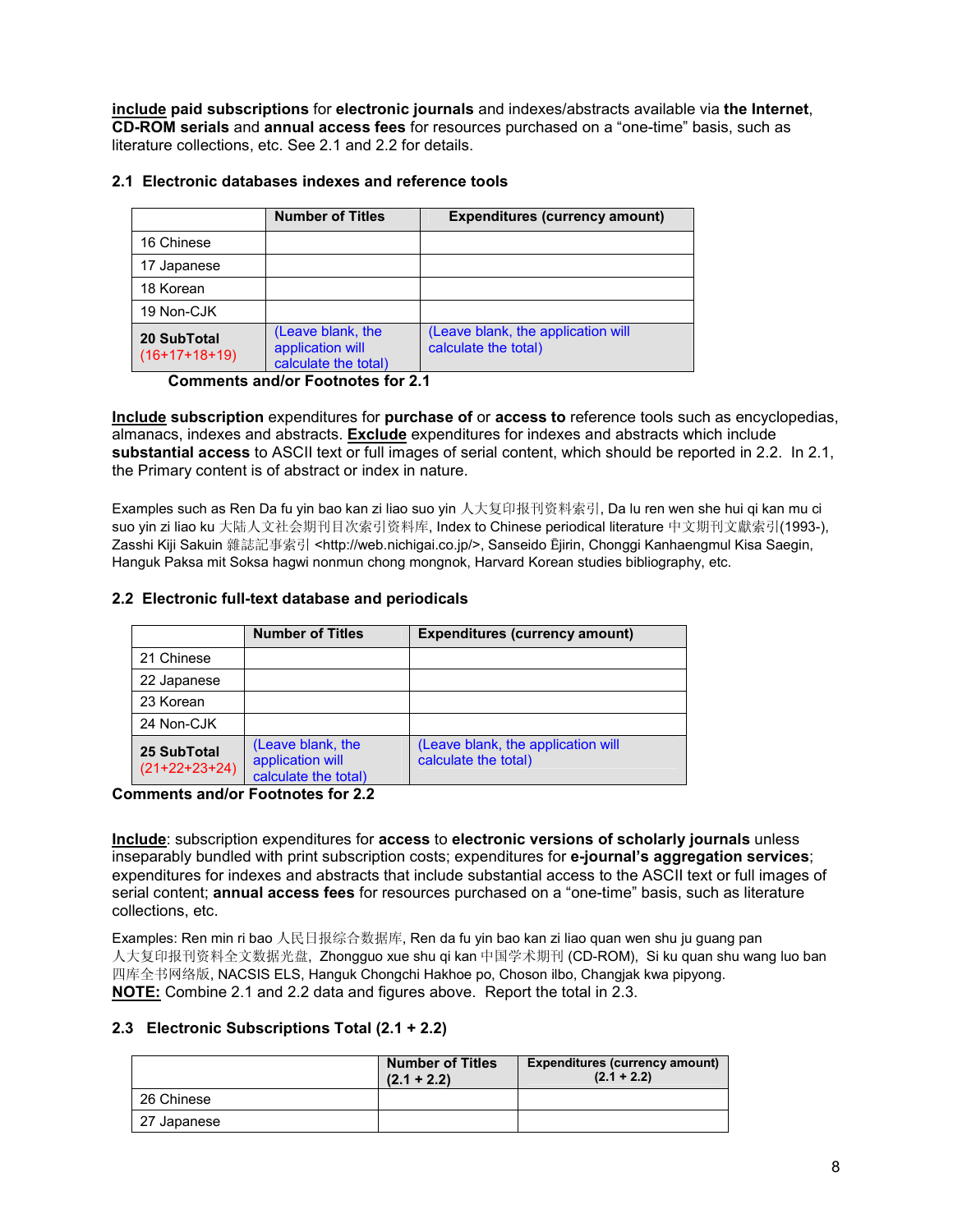**include paid subscriptions** for **electronic journals** and indexes/abstracts available via **the Internet**, **CD-ROM serials** and **annual access fees** for resources purchased on a "one-time" basis, such as literature collections, etc. See 2.1 and 2.2 for details.

### **2.1 Electronic databases indexes and reference tools**

|                                | <b>Number of Titles</b>                                       | <b>Expenditures (currency amount)</b>                      |
|--------------------------------|---------------------------------------------------------------|------------------------------------------------------------|
| 16 Chinese                     |                                                               |                                                            |
| 17 Japanese                    |                                                               |                                                            |
| 18 Korean                      |                                                               |                                                            |
| 19 Non-CJK                     |                                                               |                                                            |
| 20 SubTotal<br>$(16+17+18+19)$ | (Leave blank, the<br>application will<br>calculate the total) | (Leave blank, the application will<br>calculate the total) |

**Comments and/or Footnotes for 2.1**

**Include subscription** expenditures for **purchase of** or **access to** reference tools such as encyclopedias, almanacs, indexes and abstracts. **Exclude** expenditures for indexes and abstracts which include **substantial access** to ASCII text or full images of serial content, which should be reported in 2.2. In 2.1, the Primary content is of abstract or index in nature.

Examples such as Ren Da fu yin bao kan zi liao suo yin 人大复印报刊资料索引, Da lu ren wen she hui qi kan mu ci suo yin zi liao ku 大陆人文社会期刊目次索引资料库, Index to Chinese periodical literature 中文期刊文獻索引(1993-), Zasshi Kiji Sakuin 雜誌記事索引 <http://web.nichigai.co.jp/>, Sanseido Ējirin, Chonggi Kanhaengmul Kisa Saegin, Hanguk Paksa mit Soksa hagwi nonmun chong mongnok, Harvard Korean studies bibliography, etc.

## **2.2 Electronic full-text database and periodicals**

|                                | <b>Number of Titles</b>                                       | <b>Expenditures (currency amount)</b>                      |
|--------------------------------|---------------------------------------------------------------|------------------------------------------------------------|
| 21 Chinese                     |                                                               |                                                            |
| 22 Japanese                    |                                                               |                                                            |
| 23 Korean                      |                                                               |                                                            |
| 24 Non-CJK                     |                                                               |                                                            |
| 25 SubTotal<br>$(21+22+23+24)$ | (Leave blank, the<br>application will<br>calculate the total) | (Leave blank, the application will<br>calculate the total) |

**Comments and/or Footnotes for 2.2** 

**Include**: subscription expenditures for **access** to **electronic versions of scholarly journals** unless inseparably bundled with print subscription costs; expenditures for **e-journal's aggregation services**; expenditures for indexes and abstracts that include substantial access to the ASCII text or full images of serial content; **annual access fees** for resources purchased on a "one-time" basis, such as literature collections, etc.

Examples: Ren min ri bao 人民日报综合数据库, Ren da fu yin bao kan zi liao quan wen shu ju guang pan 人大复印报刊资料全文数据光盘, Zhongguo xue shu qi kan 中国学术期刊 (CD-ROM), Si ku quan shu wang luo ban 四库全书网络版, NACSIS ELS, Hanguk Chongchi Hakhoe po, Choson ilbo, Changjak kwa pipyong. **NOTE:** Combine 2.1 and 2.2 data and figures above. Report the total in 2.3.

## **2.3 Electronic Subscriptions Total (2.1 + 2.2)**

|             | <b>Number of Titles</b><br>$(2.1 + 2.2)$ | <b>Expenditures (currency amount)</b><br>$(2.1 + 2.2)$ |
|-------------|------------------------------------------|--------------------------------------------------------|
| 26 Chinese  |                                          |                                                        |
| 27 Japanese |                                          |                                                        |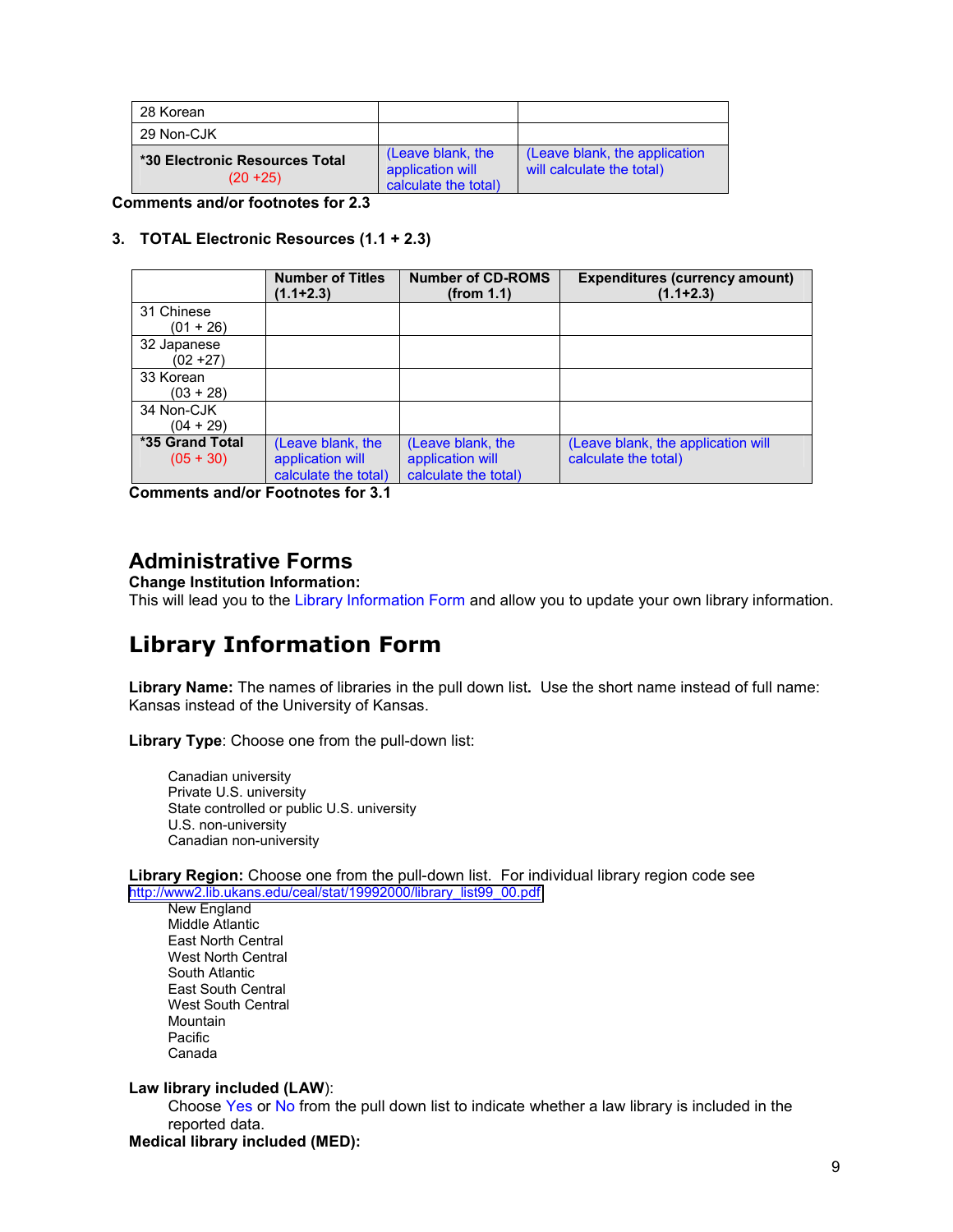| 28 Korean                                     |                                                               |                                                            |
|-----------------------------------------------|---------------------------------------------------------------|------------------------------------------------------------|
| 29 Non-CJK                                    |                                                               |                                                            |
| *30 Electronic Resources Total<br>$(20 + 25)$ | (Leave blank, the<br>application will<br>calculate the total) | (Leave blank, the application<br>will calculate the total) |

**Comments and/or footnotes for 2.3** 

### **3. TOTAL Electronic Resources (1.1 + 2.3)**

|                 | <b>Number of Titles</b><br>$(1.1 + 2.3)$ | <b>Number of CD-ROMS</b><br>(from 1.1) | <b>Expenditures (currency amount)</b><br>$(1.1 + 2.3)$ |
|-----------------|------------------------------------------|----------------------------------------|--------------------------------------------------------|
| 31 Chinese      |                                          |                                        |                                                        |
| $(01 + 26)$     |                                          |                                        |                                                        |
| 32 Japanese     |                                          |                                        |                                                        |
| $(02 + 27)$     |                                          |                                        |                                                        |
| 33 Korean       |                                          |                                        |                                                        |
| $(03 + 28)$     |                                          |                                        |                                                        |
| 34 Non-CJK      |                                          |                                        |                                                        |
| $(04 + 29)$     |                                          |                                        |                                                        |
| *35 Grand Total | (Leave blank, the                        | (Leave blank, the                      | (Leave blank, the application will                     |
| $(05 + 30)$     | application will                         | application will                       | calculate the total)                                   |
|                 | calculate the total)                     | calculate the total)                   |                                                        |

**Comments and/or Footnotes for 3.1** 

## **Administrative Forms**

**Change Institution Information:**  This will lead you to the Library Information Form and allow you to update your own library information.

# **Library Information Form**

**Library Name:** The names of libraries in the pull down list**.** Use the short name instead of full name: Kansas instead of the University of Kansas.

**Library Type**: Choose one from the pull-down list:

Canadian university Private U.S. university State controlled or public U.S. university U.S. non-university Canadian non-university

**Library Region:** Choose one from the pull-down list. For individual library region code see [http://www2.lib.ukans.edu/ceal/stat/19992000/library\\_list99\\_00.pdf](http://www2.lib.ukans.edu/ceal/stat/19992000/library_list99_00.pdf)

New England Middle Atlantic East North Central West North Central South Atlantic East South Central West South Central Mountain Pacific Canada

### **Law library included (LAW**):

Choose Yes or No from the pull down list to indicate whether a law library is included in the reported data.

**Medical library included (MED):**